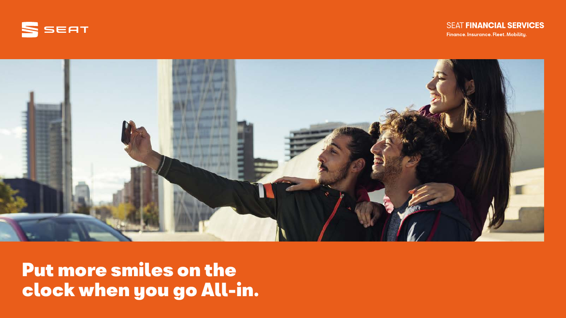



Put more smiles on the clock when you go All-in.

## **SEAT FINANCIAL SERVICES**

Finance. Insurance. Fleet. Mobility.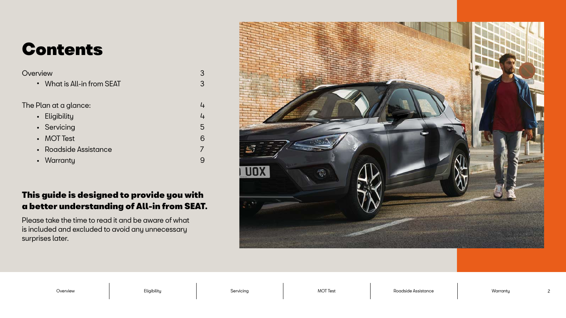## This guide is designed to provide you with a better understanding of All-in from SEAT.

Please take the time to read it and be aware of what is included and excluded to avoid any unnecessary surprises later.



3

• What is All-in from SEAT

3

The Plan at a glance:

4

 $\frac{1}{4}$ 

5

- Eligibility
- Servicing
- MOT Test
- Roadside Assistance
- Warranty

6

7

9

Overview Eligibility Servicing MOT Test Roadside Assistance Warranty

# Contents

## **Overview**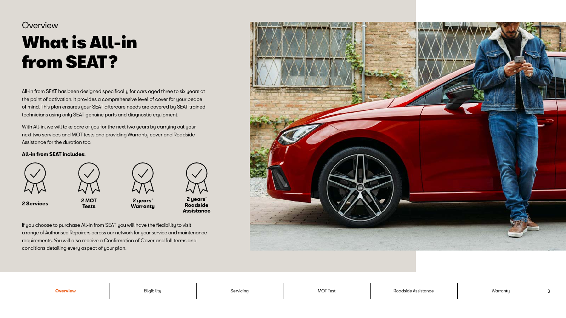All-in from SEAT has been designed specifically for cars aged three to six years at the point of activation. It provides a comprehensive level of cover for your peace of mind. This plan ensures your SEAT aftercare needs are covered by SEAT trained technicians using only SEAT genuine parts and diagnostic equipment.

With All-in, we will take care of you for the next two years by carrying out your next two services and MOT tests and providing Warranty cover and Roadside Assistance for the duration too.

## What is All-in from SEAT? **Overview**

### **All-in from SEAT includes:**



If you choose to purchase All-in from SEAT you will have the flexibility to visit a range of Authorised Repairers across our network for your service and maintenance requirements. You will also receive a Confirmation of Cover and full terms and conditions detailing every aspect of your plan.



**Overview** Eligibility Servicing MOT Test Roadside Assistance Warranty

**2 Services 2 MOT** 



**Tests**



**2 years' Warranty**



**2 years' Roadside Assistance**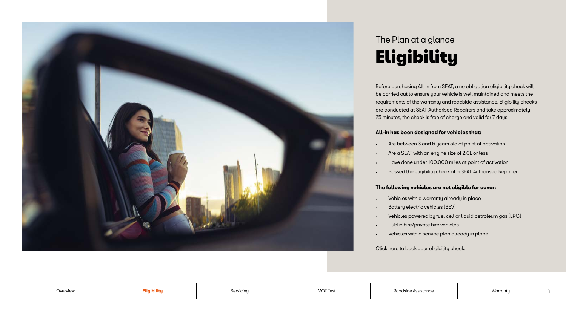Before purchasing All-in from SEAT, a no obligation eligibility check will be carried out to ensure your vehicle is well maintained and meets the requirements of the warranty and roadside assistance. Eligibility checks are conducted at SEAT Authorised Repairers and take approximately 25 minutes, the check is free of charge and valid for 7 days.

## **All-in has been designed for vehicles that:**

- Are between 3 and 6 years old at point of activation
- Are a SEAT with an engine size of 2.0L or less
- Have done under 100,000 miles at point of activation
- Passed the eligibility check at a SEAT Authorised Repairer

## **The following vehicles are not eligible for cover:**

- Vehicles with a warranty already in place
- Battery electric vehicles (BEV)
- Vehicles powered by fuel cell or liquid petroleum gas (LPG)
- Public hire/private hire vehicles
- Vehicles with a service plan already in place

[Click here](https://www.seat.co.uk/owners/your-seat/booking.html) to book your eligibility check.



## Eligibility The Plan at a glance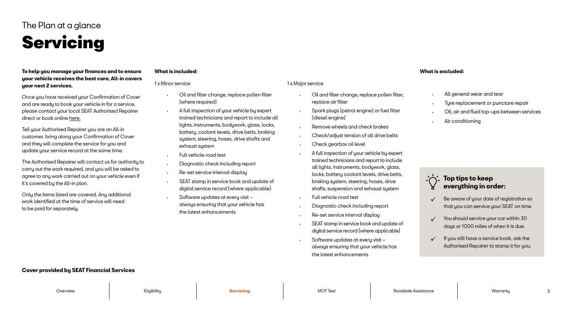**To help you manage your finances and to ensure your vehicle receives the best care, All-in covers your next 2 services.** 

Once you have received your Confirmation of Cover and are ready to book your vehicle in for a service, please contact your local SEAT Authorised Repairer direct or book online [here](https://www.seat.co.uk/owners/your-seat/booking.html).

Tell your Authorised Repairer you are an All-in customer, bring along your Confirmation of Cover and they will complete the service for you and update your service record at the same time.

The Authorised Repairer will contact us for authority to carry out the work required, and you will be asked to agree to any work carried out on your vehicle even if it's covered by the All-in plan.

Only the items listed are covered. Any additional work identified at the time of service will need to be paid for separately.

### **What is included:**

- and filter change, replace pollen filter, lace air filter
- ark plugs (petrol engine) or fuel filter esel engine)
- hove wheels and check brakes
- eck/adjust tension of all drive belts
- eck gearbox oil level
- Ill inspection of your vehicle by expert ned technicians and report to include ights, instruments, bodywork, glass, ks, battery coolant levels, drive belts, king system, steering, hoses, drive fts, suspension and exhaust system
- vehicle road test
- gnostic check including report
- set service interval display
- $\lambda$ T stamp in service book and update of tal service record (where applicable)
- tware updates at every visit always ensuring that your vehicle has the latest enhancements
- All general wear and tear
- Tyre replacement or puncture repair
- Oil, air and fluid top-ups between services
- Air conditioning

| 1 x Minor service                                                                                                                                                                                                                          | 1 x Major service                |
|--------------------------------------------------------------------------------------------------------------------------------------------------------------------------------------------------------------------------------------------|----------------------------------|
| Oil and filter change, replace pollen filter<br>(where required)                                                                                                                                                                           | Oil ar<br>repla                  |
| A full inspection of your vehicle by expert<br>trained technicians and report to include all<br>lights, instruments, bodywork, glass, locks,<br>battery, coolant levels, drive belts, braking<br>system, steering, hoses, drive shafts and | Spar<br>(dies<br>Remo<br>Chec    |
| exhaust system                                                                                                                                                                                                                             | Cheo                             |
| Full vehicle road test<br>Diagnostic check including report                                                                                                                                                                                | A full<br>traine<br>all lig      |
| Re-set service interval display<br>$\bullet$<br>SEAT stamp in service book and update of<br>$\bullet$<br>digital service record (where applicable)                                                                                         | locks<br>braki<br>shaft          |
| Software updates at every visit -<br>always ensuring that your vehicle has<br>the latest enhancements                                                                                                                                      | Full v<br>Diag                   |
|                                                                                                                                                                                                                                            | $Re-s6$<br><b>SEAT</b><br>digitc |
|                                                                                                                                                                                                                                            | Softv                            |

### **What is excluded:**

## **Top tips to keep everything in order:**

- Be aware of your date of registration so that you can service your SEAT on time.
- $\checkmark$  You should service your car within 30 days or 1000 miles of when it is due.
- If you still have a service book, ask the Authorised Repairer to stamp it for you.

## **Cover provided by SEAT Financial Services**

# Servicing

## The Plan at a glance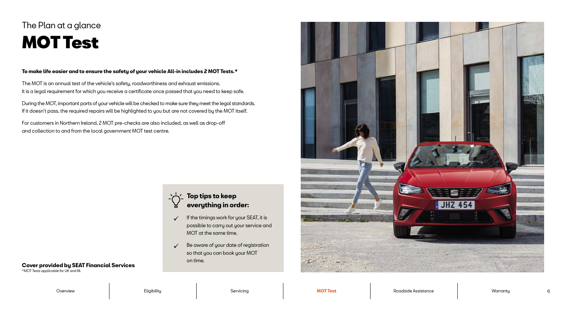### **To make life easier and to ensure the safety of your vehicle All-in includes 2 MOT Tests.\***

The MOT is an annual test of the vehicle's safety, roadworthiness and exhaust emissions. It is a legal requirement for which you receive a certificate once passed that you need to keep safe.

During the MOT, important parts of your vehicle will be checked to make sure they meet the legal standards. If it doesn't pass, the required repairs will be highlighted to you but are not covered by the MOT itself.

- $\checkmark$  If the timings work for your SEAT, it is possible to carry out your service and MOT at the same time.
- $\checkmark$  Be aware of your date of registration so that you can book your MOT on time.



Overview Eligibility Servicing **MOT Test** Roadside Assistance Warranty 6

For customers in Northern Ireland, 2 MOT pre-checks are also included, as well as drop-off and collection to and from the local government MOT test centre.

## **Top tips to keep everything in order:**

\*MOT Tests applicable for UK and NI.

## MOT Test The Plan at a glance

## **Cover provided by SEAT Financial Services**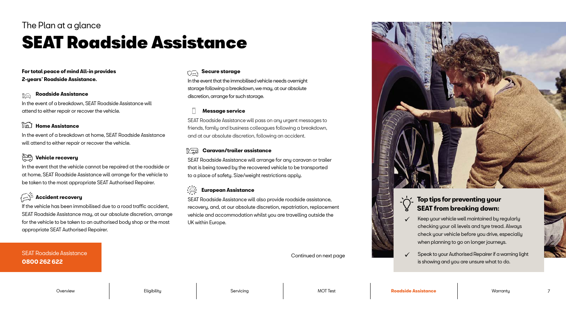## **For total peace of mind All-in provides 2-years' Roadside Assistance.**

#### **Roadside Assistance** ić.

#### $\sum_{n=1}^{\infty}$  **Home Assistance**

In the event of a breakdown, SEAT Roadside Assistance will attend to either repair or recover the vehicle.

#### **SPD Vehicle recovery**

In the event of a breakdown at home, SEAT Roadside Assistance will attend to either repair or recover the vehicle.

In the event that the vehicle cannot be repaired at the roadside or at home, SEAT Roadside Assistance will arrange for the vehicle to be taken to the most appropriate SEAT Authorised Repairer.

## **Accident recovery**

#### $\frac{15}{10}$  **Caravan/trailer assistance**

If the vehicle has been immobilised due to a road traffic accident, SEAT Roadside Assistance may, at our absolute discretion, arrange for the vehicle to be taken to an authorised body shop or the most appropriate SEAT Authorised Repairer.

#### - 合)  **European Assistance**

## **SEAT Roadside Assistance 0800 262 622**

## **Secure storage**

In the event that the immobilised vehicle needs overnight storage following a breakdown, we may, at our absolute discretion, arrange for such storage.

## **Message service**

SEAT Roadside Assistance will pass on any urgent messages to friends, family and business colleagues following a breakdown, and at our absolute discretion, following an accident.

SEAT Roadside Assistance will arrange for any caravan or trailer that is being towed by the recovered vehicle to be transported to a place of safety. Size/weight restrictions apply.

SEAT Roadside Assistance will also provide roadside assistance, recovery, and, at our absolute discretion, repatriation, replacement vehicle and accommodation whilst you are travelling outside the UK within Europe.

Continued on next page





## The Plan at a glance

# **SEAT Roadside Assistance**

## **Top tips for preventing your SEAT from breaking down:**

- Keep your vehicle well maintained by regularly checking your oil levels and tyre tread. Always check your vehicle before you drive, especially when planning to go on longer journeys.
- Speak to your Authorised Repairer if a warning light is showing and you are unsure what to do.

Overview Eligibility Servicing MOT Test **Roadside Assistance** Warranty 7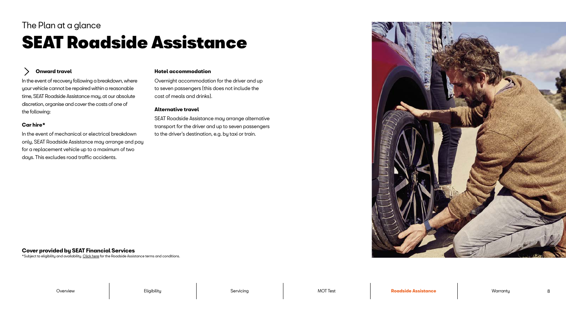In the event of recovery following a breakdown, where your vehicle cannot be repaired within a reasonable time, SEAT Roadside Assistance may, at our absolute discretion, organise and cover the costs of one of the following:

## **Car hire\***

In the event of mechanical or electrical breakdown only, SEAT Roadside Assistance may arrange and pay for a replacement vehicle up to a maximum of two days. This excludes road traffic accidents.

## **SEAT Roadside Assistance** The Plan at a glance

#### **Onward travel** ゝ

### **Hotel accommodation**

Overnight accommodation for the driver and up to seven passengers (this does not include the cost of meals and drinks).

## **Alternative travel**

SEAT Roadside Assistance may arrange alternative transport for the driver and up to seven passengers to the driver's destination, e.g. by taxi or train.

\*Subject to eligibility and availability. [Click here](https://customer.vwfs.co.uk/content/dam/bluelabel/valid/www-vwfs-co-uk/documents/SEAT_Roadside_Assistance_Handbook.pdf) for the Roadside Assistance terms and conditions.



## **Cover provided by SEAT Financial Services**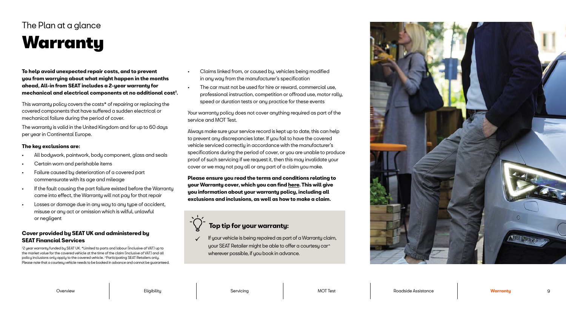**To help avoid unexpected repair costs, and to prevent you from worrying about what might happen in the months ahead, All-in from SEAT includes a 2-year warranty for mechanical and electrical components at no additional cost † .** 

This warranty policy covers the costs\* of repairing or replacing the covered components that have suffered a sudden electrical or mechanical failure during the period of cover.

The warranty is valid in the United Kingdom and for up to 60 days per year in Continental Europe.

- All bodywork, paintwork, body component, glass and seals
- Certain worn and perishable items
- Failure caused by deterioration of a covered part commensurate with its age and mileage
- If the fault causing the part failure existed before the Warranty came into effect, the Warranty will not pay for that repair
- Losses or damage due in any way to any type of accident, misuse or any act or omission which is wilful, unlawful or negligent

## **The key exclusions are:**

## **Warranty** The Plan at a glance

- Claims linked from, or caused by, vehicles being modified in any way from the manufacturer's specification
- The car must not be used for hire or reward, commercial use, professional instruction, competition or offroad use, motor rally, speed or duration tests or any practice for these events

Your warranty policy does not cover anything required as part of the service and MOT Test.

Always make sure your service record is kept up to date, this can help to prevent any discrepancies later. If you fail to have the covered vehicle serviced correctly in accordance with the manufacturer's specifications during the period of cover, or you are unable to produce proof of such servicing if we request it, then this may invalidate your cover or we may not pay all or any part of a claim you make.

**Please ensure you read the terms and conditions relating to your Warranty cover, which you can find [here](https://customer.vwfs.co.uk/content/dam/bluelabel/valid/www-vwfs-co-uk/documents/SEAT_Warranty%E2%80%93Terms_and_Conditions.pdf). This will give you information about your warranty policy, including all exclusions and inclusions, as well as how to make a claim.**

 If your vehicle is being repaired as part of a Warranty claim, your SEAT Retailer might be able to offer a courtesy car^ wherever possible, if you book in advance.



Overview Eligibility Servicing MOT Test Roadside Assistance **Warranty** 

† 2 year warranty funded by SEAT UK. \*Limited to parts and labour (inclusive of VAT) up to the market value for the covered vehicle at the time of the claim (inclusive of VAT) and all policy inclusions only apply to the covered vehicle. ^Participating SEAT Retailers only. Please note that a courtesy vehicle needs to be booked in advance and cannot be guaranteed.

## **Top tip for your warranty:**

## **Cover provided by SEAT UK and administered by SEAT Financial Services**